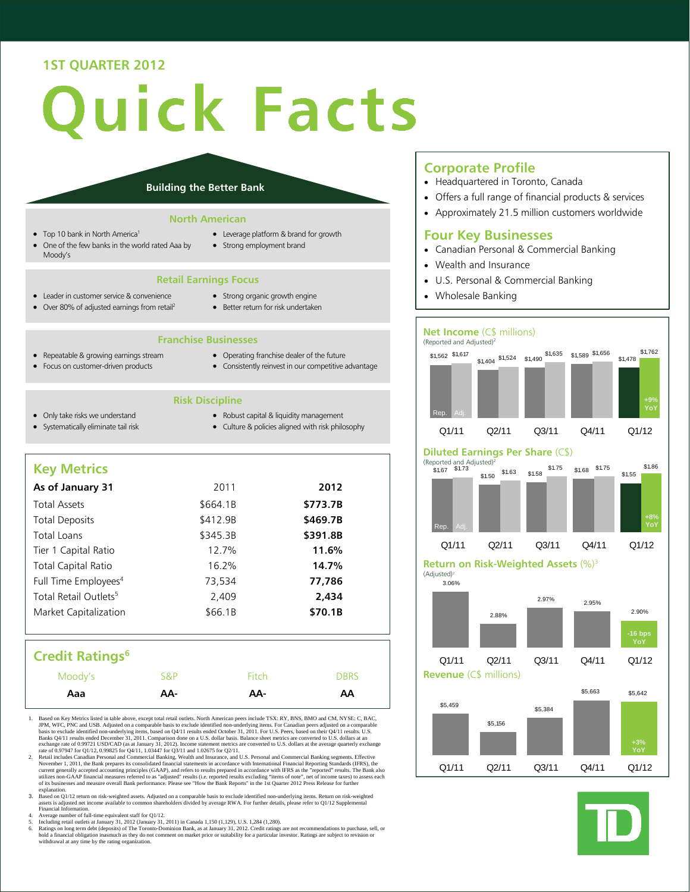# **1ST QUARTER 2012**

# uick Facts

### **Building the Better Bank**

### **North American**

- Top 10 bank in North America<sup>1</sup>
- One of the few banks in the world rated Aaa by Moody's
- Leverage platform & brand for growth
- Strong employment brand

### **Retail Earnings Focus**

- Leader in customer service & convenience • Over 80% of adjusted earnings from retail<sup>2</sup>
- Strong organic growth engine
- Better return for risk undertaken

# **Franchise Businesses**

- Repeatable & growing earnings stream Focus on customer-driven products
- Operating franchise dealer of the future Consistently reinvest in our competitive advantage
- **Risk Discipline**
- Only take risks we understand Systematically eliminate tail risk
- Robust capital & liquidity management
- Culture & policies aligned with risk philosophy

# **Key Metrics**

| As of January 31                  | 2011     | 2012     |
|-----------------------------------|----------|----------|
| <b>Total Assets</b>               | \$664.1B | \$773.7B |
| <b>Total Deposits</b>             | \$412.9B | \$469.7B |
| Total Loans                       | \$345.3B | \$391.8B |
| Tier 1 Capital Ratio              | 12.7%    | 11.6%    |
| <b>Total Capital Ratio</b>        | 16.2%    | 14.7%    |
| Full Time Employees <sup>4</sup>  | 73,534   | 77,786   |
| Total Retail Outlets <sup>5</sup> | 2,409    | 2.434    |
| Market Capitalization             | \$66.1B  | \$70.1B  |
|                                   |          |          |

# **Credit Ratings<sup>6</sup>**

| Aaa     | AA- | AA-   | AA          |
|---------|-----|-------|-------------|
| Moody's | S&P | Fitch | <b>DBRS</b> |

- 1. Based on Key Metrics listed in table above, except total retail outlets. North American peers include TSX: RY, BNS, BMO and CM, NYSE: C, BAC, JPM, WFC, PNC and USB. Adjusted on a comparable basis to exclude identified n
- 2. Retail includes Canadian Personal and Commercial Banking, Wealth and Insurance, and U.S. Personal and Commercial Banking segments. Effective November 1, 2011, the Bank prepares its consolidated financial statements in a of its businesses and measure overall Bank performance. Please see "How the Bank Reports" in the 1st Quarter 2012 Press Release for further
- explanation.<br>3. Based on Q1/12 return on risk-weighted assets. Adjusted on a comparable basis to exclude identified non-underlying items. Return on risk-weighted<br>asset is adjusted net income available to common shareholder
- 4. Average number of full-time equivalent staff for Q1/12.
- 
- 5. Including retail outlets at January 31, 2012 (January 31, 2011) in Canada 1,150 (1,129), U.S. 1,284 (1,280).<br>
6. Ratings on long term debt (deposits) of The Toronto-Dominion Bank, as at January 31, 2012. Credit ratings

### **Corporate Profile**

- Headquartered in Toronto, Canada
- Offers a full range of financial products & services
- Approximately 21.5 million customers worldwide

# **Four Key Businesses**

- Canadian Personal & Commercial Banking
- Wealth and Insurance
- U.S. Personal & Commercial Banking
- Wholesale Banking

### **Net Income** (C\$ millions) (Reported and Adjusted)2



### **Diluted Earnings Per Share** (C\$)



**Return on Risk-Weighted Assets** (%)3 (Adjusted)2